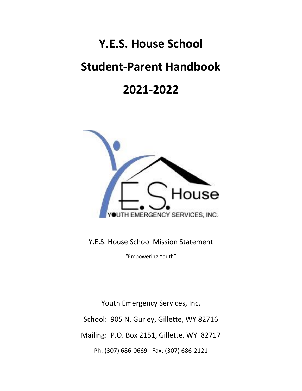# **Y.E.S. House School**

# **Student-Parent Handbook**

## **2021-2022**



Y.E.S. House School Mission Statement

"Empowering Youth"

Youth Emergency Services, Inc. School: 905 N. Gurley, Gillette, WY 82716 Mailing: P.O. Box 2151, Gillette, WY 82717 Ph: (307) 686-0669 Fax: (307) 686-2121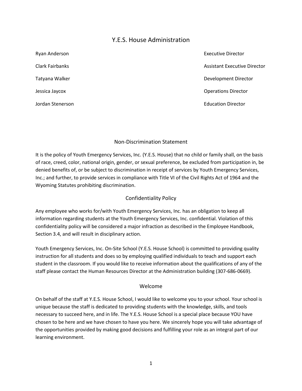## Y.E.S. House Administration

| Ryan Anderson    | <b>Executive Director</b>    |
|------------------|------------------------------|
| Clark Fairbanks  | Assistant Executive Director |
| Tatyana Walker   | Development Director         |
| Jessica Jaycox   | <b>Operations Director</b>   |
| Jordan Stenerson | <b>Education Director</b>    |

#### Non-Discrimination Statement

It is the policy of Youth Emergency Services, Inc. (Y.E.S. House) that no child or family shall, on the basis of race, creed, color, national origin, gender, or sexual preference, be excluded from participation in, be denied benefits of, or be subject to discrimination in receipt of services by Youth Emergency Services, Inc.; and further, to provide services in compliance with Title VI of the Civil Rights Act of 1964 and the Wyoming Statutes prohibiting discrimination.

#### Confidentiality Policy

Any employee who works for/with Youth Emergency Services, Inc. has an obligation to keep all information regarding students at the Youth Emergency Services, Inc. confidential. Violation of this confidentiality policy will be considered a major infraction as described in the Employee Handbook, Section 3.4, and will result in disciplinary action.

Youth Emergency Services, Inc. On-Site School (Y.E.S. House School) is committed to providing quality instruction for all students and does so by employing qualified individuals to teach and support each student in the classroom. If you would like to receive information about the qualifications of any of the staff please contact the Human Resources Director at the Administration building (307-686-0669).

#### Welcome

On behalf of the staff at Y.E.S. House School, I would like to welcome you to your school. Your school is unique because the staff is dedicated to providing students with the knowledge, skills, and tools necessary to succeed here, and in life. The Y.E.S. House School is a special place because YOU have chosen to be here and we have chosen to have you here. We sincerely hope you will take advantage of the opportunities provided by making good decisions and fulfilling your role as an integral part of our learning environment.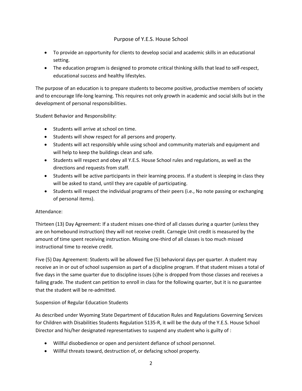## Purpose of Y.E.S. House School

- To provide an opportunity for clients to develop social and academic skills in an educational setting.
- The education program is designed to promote critical thinking skills that lead to self-respect, educational success and healthy lifestyles.

The purpose of an education is to prepare students to become positive, productive members of society and to encourage life-long learning. This requires not only growth in academic and social skills but in the development of personal responsibilities.

Student Behavior and Responsibility:

- Students will arrive at school on time.
- Students will show respect for all persons and property.
- Students will act responsibly while using school and community materials and equipment and will help to keep the buildings clean and safe.
- Students will respect and obey all Y.E.S. House School rules and regulations, as well as the directions and requests from staff.
- Students will be active participants in their learning process. If a student is sleeping in class they will be asked to stand, until they are capable of participating.
- Students will respect the individual programs of their peers (i.e., No note passing or exchanging of personal items).

#### Attendance:

Thirteen (13) Day Agreement: If a student misses one-third of all classes during a quarter (unless they are on homebound instruction) they will not receive credit. Carnegie Unit credit is measured by the amount of time spent receiving instruction. Missing one-third of all classes is too much missed instructional time to receive credit.

Five (5) Day Agreement: Students will be allowed five (5) behavioral days per quarter. A student may receive an in or out of school suspension as part of a discipline program. If that student misses a total of five days in the same quarter due to discipline issues (s)he is dropped from those classes and receives a failing grade. The student can petition to enroll in class for the following quarter, but it is no guarantee that the student will be re-admitted.

#### Suspension of Regular Education Students

As described under Wyoming State Department of Education Rules and Regulations Governing Services for Children with Disabilities Students Regulation 5135-R, it will be the duty of the Y.E.S. House School Director and his/her designated representatives to suspend any student who is guilty of :

- Willful disobedience or open and persistent defiance of school personnel.
- Willful threats toward, destruction of, or defacing school property.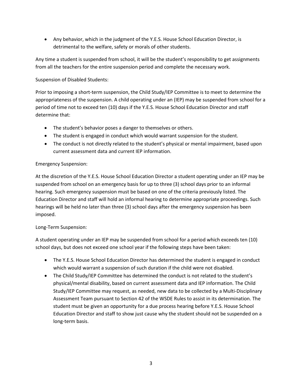• Any behavior, which in the judgment of the Y.E.S. House School Education Director, is detrimental to the welfare, safety or morals of other students.

Any time a student is suspended from school, it will be the student's responsibility to get assignments from all the teachers for the entire suspension period and complete the necessary work.

## Suspension of Disabled Students:

Prior to imposing a short-term suspension, the Child Study/IEP Committee is to meet to determine the appropriateness of the suspension. A child operating under an (IEP) may be suspended from school for a period of time not to exceed ten (10) days if the Y.E.S. House School Education Director and staff determine that:

- The student's behavior poses a danger to themselves or others.
- The student is engaged in conduct which would warrant suspension for the student.
- The conduct is not directly related to the student's physical or mental impairment, based upon current assessment data and current IEP information.

## Emergency Suspension:

At the discretion of the Y.E.S. House School Education Director a student operating under an IEP may be suspended from school on an emergency basis for up to three (3) school days prior to an informal hearing. Such emergency suspension must be based on one of the criteria previously listed. The Education Director and staff will hold an informal hearing to determine appropriate proceedings. Such hearings will be held no later than three (3) school days after the emergency suspension has been imposed.

#### Long-Term Suspension:

A student operating under an IEP may be suspended from school for a period which exceeds ten (10) school days, but does not exceed one school year if the following steps have been taken:

- The Y.E.S. House School Education Director has determined the student is engaged in conduct which would warrant a suspension of such duration if the child were not disabled.
- The Child Study/IEP Committee has determined the conduct is not related to the student's physical/mental disability, based on current assessment data and IEP information. The Child Study/IEP Committee may request, as needed, new data to be collected by a Multi-Disciplinary Assessment Team pursuant to Section 42 of the WSDE Rules to assist in its determination. The student must be given an opportunity for a due process hearing before Y.E.S. House School Education Director and staff to show just cause why the student should not be suspended on a long-term basis.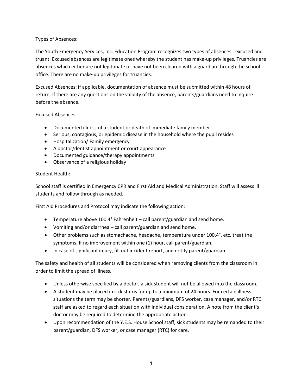#### Types of Absences:

The Youth Emergency Services, Inc. Education Program recognizes two types of absences: excused and truant. Excused absences are legitimate ones whereby the student has make-up privileges. Truancies are absences which either are not legitimate or have not been cleared with a guardian through the school office. There are no make-up privileges for truancies.

Excused Absences: if applicable, documentation of absence must be submitted within 48 hours of return. If there are any questions on the validity of the absence, parents/guardians need to inquire before the absence.

#### Excused Absences:

- Documented illness of a student or death of immediate family member
- Serious, contagious, or epidemic disease in the household where the pupil resides
- Hospitalization/ Family emergency
- A doctor/dentist appointment or court appearance
- Documented guidance/therapy appointments
- Observance of a religious holiday

#### Student Health:

School staff is certified in Emergency CPR and First Aid and Medical Administration. Staff will assess ill students and follow through as needed.

First Aid Procedures and Protocol may indicate the following action:

- Temperature above 100.4° Fahrenheit call parent/guardian and send home.
- Vomiting and/or diarrhea call parent/guardian and send home.
- Other problems such as stomachache, headache, temperature under 100.4°, etc. treat the symptoms. If no improvement within one (1) hour, call parent/guardian.
- In case of significant injury, fill out incident report, and notify parent/guardian.

The safety and health of all students will be considered when removing clients from the classroom in order to limit the spread of illness.

- Unless otherwise specified by a doctor, a sick student will not be allowed into the classroom.
- A student may be placed in sick status for up to a minimum of 24 hours. For certain illness situations the term may be shorter. Parents/guardians, DFS worker, case manager, and/or RTC staff are asked to regard each situation with individual consideration. A note from the client's doctor may be required to determine the appropriate action.
- Upon recommendation of the Y.E.S. House School staff, sick students may be remanded to their parent/guardian, DFS worker, or case manager (RTC) for care.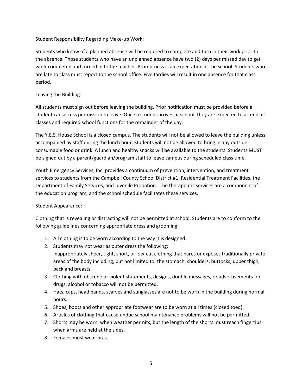Student Responsibility Regarding Make-up Work:

Students who know of a planned absence will be required to complete and turn in their work prior to the absence. Those students who have an unplanned absence have two (2) days per missed day to get work completed and turned in to the teacher. Promptness is an expectation at the school. Students who are late to class must report to the school office. Five tardies will result in one absence for that class period.

#### Leaving the Building:

All students must sign out before leaving the building. Prior notification must be provided before a student can access permission to leave. Once a student arrives at school, they are expected to attend all classes and required school functions for the remainder of the day.

The Y.E.S. House School is a closed campus. The students will not be allowed to leave the building unless accompanied by staff during the lunch hour. Students will not be allowed to bring in any outside consumable food or drink. A lunch and healthy snacks will be available to the students. Students MUST be signed out by a parent/guardian/program staff to leave campus during scheduled class time.

Youth Emergency Services, Inc. provides a continuum of prevention, intervention, and treatment services to students from the Campbell County School District #1, Residential Treatment Facilities, the Department of Family Services, and Juvenile Probation. The therapeutic services are a component of the education program, and the school schedule facilitates these services.

#### Student Appearance:

Clothing that is revealing or distracting will not be permitted at school. Students are to conform to the following guidelines concerning appropriate dress and grooming.

- 1. All clothing is to be worn according to the way it is designed.
- 2. Students may not wear as outer dress the following: Inappropriately sheer, tight, short, or low-cut clothing that bares or exposes traditionally private areas of the body including, but not limited to, the stomach, shoulders, buttocks, upper thigh, back and breasts.
- 3. Clothing with obscene or violent statements, designs, double messages, or advertisements for drugs, alcohol or tobacco will not be permitted.
- 4. Hats, caps, head bands, scarves and sunglasses are not to be worn in the building during normal hours.
- 5. Shoes, boots and other appropriate footwear are to be worn at all times (closed toed).
- 6. Articles of clothing that cause undue school maintenance problems will not be permitted.
- 7. Shorts may be worn, when weather permits, but the length of the shorts must reach fingertips when arms are held at the sides.
- 8. Females must wear bras.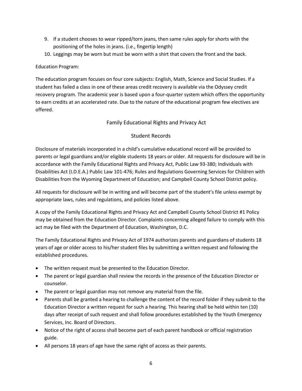- 9. If a student chooses to wear ripped/torn jeans, then same rules apply for shorts with the positioning of the holes in jeans. (i.e., fingertip length)
- 10. Leggings may be worn but must be worn with a shirt that covers the front and the back.

### Education Program:

The education program focuses on four core subjects: English, Math, Science and Social Studies. If a student has failed a class in one of these areas credit recovery is available via the Odyssey credit recovery program. The academic year is based upon a four-quarter system which offers the opportunity to earn credits at an accelerated rate. Due to the nature of the educational program few electives are offered.

## Family Educational Rights and Privacy Act

## Student Records

Disclosure of materials incorporated in a child's cumulative educational record will be provided to parents or legal guardians and/or eligible students 18 years or older. All requests for disclosure will be in accordance with the Family Educational Rights and Privacy Act, Public Law 93-380; Individuals with Disabilities Act (I.D.E.A.) Public Law 101-476; Rules and Regulations Governing Services for Children with Disabilities from the Wyoming Department of Education; and Campbell County School District policy.

All requests for disclosure will be in writing and will become part of the student's file unless exempt by appropriate laws, rules and regulations, and policies listed above.

A copy of the Family Educational Rights and Privacy Act and Campbell County School District #1 Policy may be obtained from the Education Director. Complaints concerning alleged failure to comply with this act may be filed with the Department of Education, Washington, D.C.

The Family Educational Rights and Privacy Act of 1974 authorizes parents and guardians of students 18 years of age or older access to his/her student files by submitting a written request and following the established procedures.

- The written request must be presented to the Education Director.
- The parent or legal guardian shall review the records in the presence of the Education Director or counselor.
- The parent or legal guardian may not remove any material from the file.
- Parents shall be granted a hearing to challenge the content of the record folder if they submit to the Education Director a written request for such a hearing. This hearing shall be held within ten (10) days after receipt of such request and shall follow procedures established by the Youth Emergency Services, Inc. Board of Directors.
- Notice of the right of access shall become part of each parent handbook or official registration guide.
- All persons 18 years of age have the same right of access as their parents.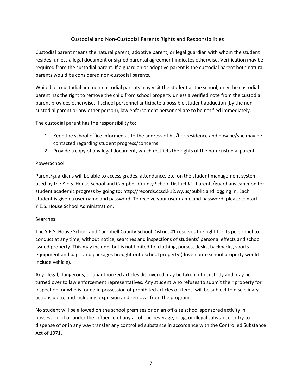## Custodial and Non-Custodial Parents Rights and Responsibilities

Custodial parent means the natural parent, adoptive parent, or legal guardian with whom the student resides, unless a legal document or signed parental agreement indicates otherwise. Verification may be required from the custodial parent. If a guardian or adoptive parent is the custodial parent both natural parents would be considered non-custodial parents.

While both custodial and non-custodial parents may visit the student at the school, only the custodial parent has the right to remove the child from school property unless a verified note from the custodial parent provides otherwise. If school personnel anticipate a possible student abduction (by the noncustodial parent or any other person), law enforcement personnel are to be notified immediately.

The custodial parent has the responsibility to:

- 1. Keep the school office informed as to the address of his/her residence and how he/she may be contacted regarding student progress/concerns.
- 2. Provide a copy of any legal document, which restricts the rights of the non-custodial parent.

#### PowerSchool:

Parent/guardians will be able to access grades, attendance, etc. on the student management system used by the Y.E.S. House School and Campbell County School District #1. Parents/guardians can monitor student academic progress by going to: http://records.ccsd.k12.wy.us/public and logging in. Each student is given a user name and password. To receive your user name and password, please contact Y.E.S. House School Administration.

#### Searches:

The Y.E.S. House School and Campbell County School District #1 reserves the right for its personnel to conduct at any time, without notice, searches and inspections of students' personal effects and school issued property. This may include, but is not limited to, clothing, purses, desks, backpacks, sports equipment and bags, and packages brought onto school property (driven onto school property would include vehicle).

Any illegal, dangerous, or unauthorized articles discovered may be taken into custody and may be turned over to law enforcement representatives. Any student who refuses to submit their property for inspection, or who is found in possession of prohibited articles or items, will be subject to disciplinary actions up to, and including, expulsion and removal from the program.

No student will be allowed on the school premises or on an off-site school sponsored activity in possession of or under the influence of any alcoholic beverage, drug, or illegal substance or try to dispense of or in any way transfer any controlled substance in accordance with the Controlled Substance Act of 1971.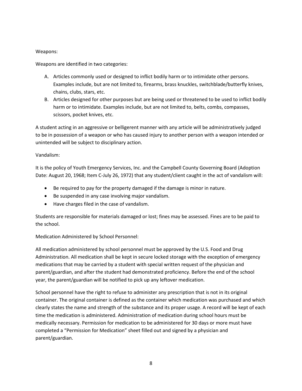#### Weapons:

Weapons are identified in two categories:

- A. Articles commonly used or designed to inflict bodily harm or to intimidate other persons. Examples include, but are not limited to, firearms, brass knuckles, switchblade/butterfly knives, chains, clubs, stars, etc.
- B. Articles designed for other purposes but are being used or threatened to be used to inflict bodily harm or to intimidate. Examples include, but are not limited to, belts, combs, compasses, scissors, pocket knives, etc.

A student acting in an aggressive or belligerent manner with any article will be administratively judged to be in possession of a weapon or who has caused injury to another person with a weapon intended or unintended will be subject to disciplinary action.

#### Vandalism:

It is the policy of Youth Emergency Services, Inc. and the Campbell County Governing Board (Adoption Date: August 20, 1968; Item C-July 26, 1972) that any student/client caught in the act of vandalism will:

- Be required to pay for the property damaged if the damage is minor in nature.
- Be suspended in any case involving major vandalism.
- Have charges filed in the case of vandalism.

Students are responsible for materials damaged or lost; fines may be assessed. Fines are to be paid to the school.

Medication Administered by School Personnel:

All medication administered by school personnel must be approved by the U.S. Food and Drug Administration. All medication shall be kept in secure locked storage with the exception of emergency medications that may be carried by a student with special written request of the physician and parent/guardian, and after the student had demonstrated proficiency. Before the end of the school year, the parent/guardian will be notified to pick up any leftover medication.

School personnel have the right to refuse to administer any prescription that is not in its original container. The original container is defined as the container which medication was purchased and which clearly states the name and strength of the substance and its proper usage. A record will be kept of each time the medication is administered. Administration of medication during school hours must be medically necessary. Permission for medication to be administered for 30 days or more must have completed a "Permission for Medication" sheet filled out and signed by a physician and parent/guardian.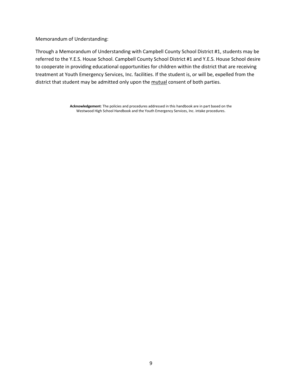Memorandum of Understanding:

Through a Memorandum of Understanding with Campbell County School District #1, students may be referred to the Y.E.S. House School. Campbell County School District #1 and Y.E.S. House School desire to cooperate in providing educational opportunities for children within the district that are receiving treatment at Youth Emergency Services, Inc. facilities. If the student is, or will be, expelled from the district that student may be admitted only upon the mutual consent of both parties.

> **Acknowledgement**: The policies and procedures addressed in this handbook are in part based on the Westwood High School Handbook and the Youth Emergency Services, Inc. intake procedures.